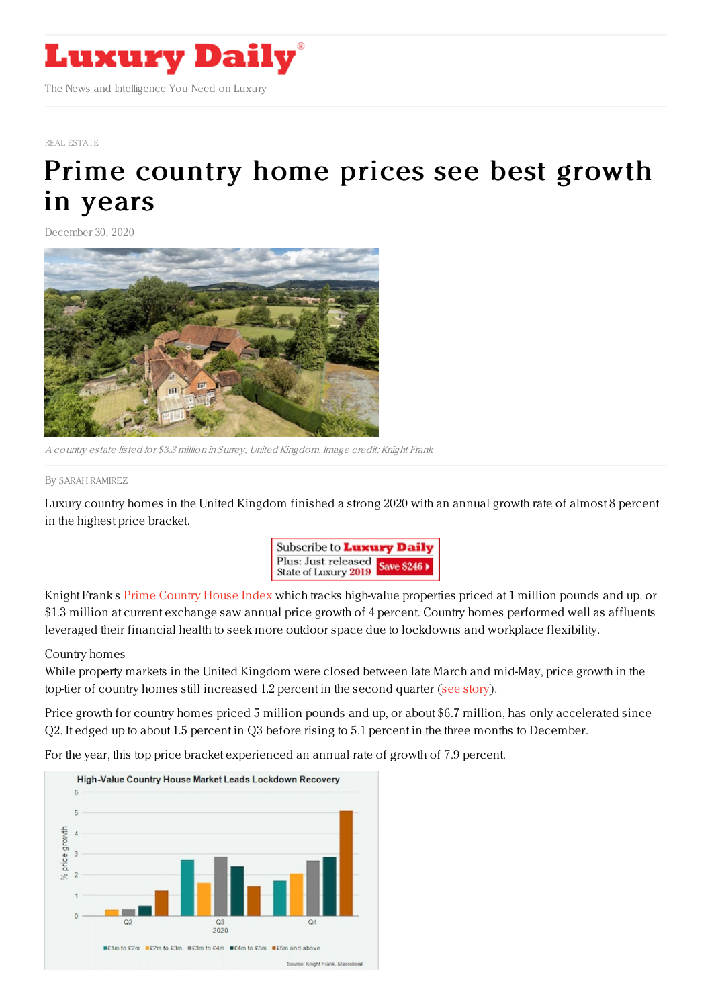

#### REAL [ESTATE](https://www.luxurydaily.com/category/sectors/real-estate/)

# Prime [country](https://www.luxurydaily.com/prime-country-house-index-sees-best-performance-in-years/) home prices see best growth in years

December 30, 2020



A country estate listed for \$3.3 million in Surrey, United Kingdom. Image credit: Knight Frank

#### By SARAH [RAMIREZ](file:///author/sarah-ramirez)

Luxury country homes in the United Kingdom finished a strong 2020 with an annual growth rate of almost 8 percent in the highest price bracket.



Knight Frank's Prime [Country](https://www.knightfrank.co.uk/research/article/2020-12-29-country-house-price-growth-finishes-2020-on-a-high) House Index which tracks high-value properties priced at 1 million pounds and up, or \$1.3 million at current exchange saw annual price growth of 4 percent. Country homes performed well as affluents leveraged their financial health to seek more outdoor space due to lockdowns and workplace flexibility.

### Country homes

While property markets in the United Kingdom were closed between late March and mid-May, price growth in the top-tier of country homes still increased 1.2 percent in the second quarter (see [story](https://www.luxurydaily.com/high-value-country-house-market-is-strongest-performer-in-uk-knight-frank/)).

Price growth for country homes priced 5 million pounds and up, or about \$6.7 million, has only accelerated since Q2. It edged up to about 1.5 percent in Q3 before rising to 5.1 percent in the three months to December.

For the year, this top price bracket experienced an annual rate of growth of 7.9 percent.